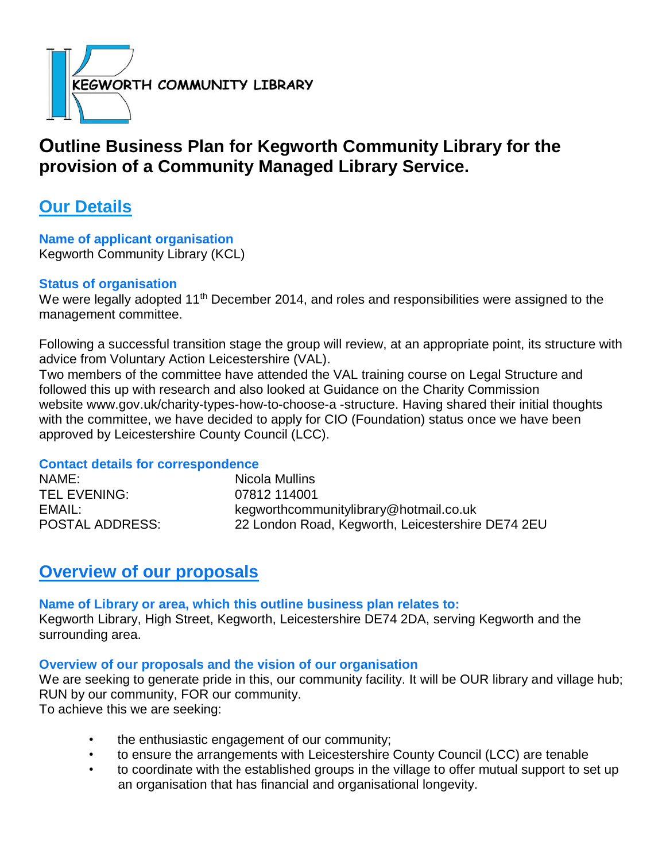

# **Outline Business Plan for Kegworth Community Library for the provision of a Community Managed Library Service.**

# **Our Details**

**Name of applicant organisation** Kegworth Community Library (KCL)

#### **Status of organisation**

We were legally adopted 11<sup>th</sup> December 2014, and roles and responsibilities were assigned to the management committee.

Following a successful transition stage the group will review, at an appropriate point, its structure with advice from Voluntary Action Leicestershire (VAL).

Two members of the committee have attended the VAL training course on Legal Structure and followed this up with research and also looked at Guidance on the Charity Commission website www.gov.uk/charity-types-how-to-choose-a -structure. Having shared their initial thoughts with the committee, we have decided to apply for CIO (Foundation) status once we have been approved by Leicestershire County Council (LCC).

#### **Contact details for correspondence**

NAME: Nicola Mullins TEL EVENING: 07812 114001

EMAIL: kegworthcommunitylibrary@hotmail.co.uk POSTAL ADDRESS: 22 London Road, Kegworth, Leicestershire DE74 2EU

# **Overview of our proposals**

**Name of Library or area, which this outline business plan relates to:** Kegworth Library, High Street, Kegworth, Leicestershire DE74 2DA, serving Kegworth and the surrounding area.

## **Overview of our proposals and the vision of our organisation**

We are seeking to generate pride in this, our community facility. It will be OUR library and village hub; RUN by our community, FOR our community. To achieve this we are seeking:

- the enthusiastic engagement of our community;
- to ensure the arrangements with Leicestershire County Council (LCC) are tenable
- to coordinate with the established groups in the village to offer mutual support to set up an organisation that has financial and organisational longevity.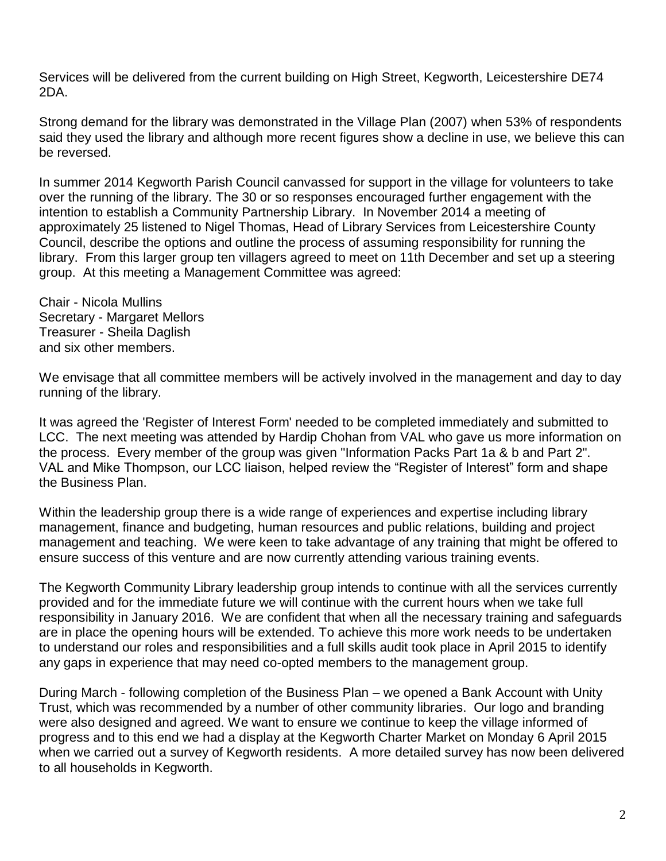Services will be delivered from the current building on High Street, Kegworth, Leicestershire DE74 2DA.

Strong demand for the library was demonstrated in the Village Plan (2007) when 53% of respondents said they used the library and although more recent figures show a decline in use, we believe this can be reversed.

In summer 2014 Kegworth Parish Council canvassed for support in the village for volunteers to take over the running of the library. The 30 or so responses encouraged further engagement with the intention to establish a Community Partnership Library. In November 2014 a meeting of approximately 25 listened to Nigel Thomas, Head of Library Services from Leicestershire County Council, describe the options and outline the process of assuming responsibility for running the library. From this larger group ten villagers agreed to meet on 11th December and set up a steering group. At this meeting a Management Committee was agreed:

Chair - Nicola Mullins Secretary - Margaret Mellors Treasurer - Sheila Daglish and six other members.

We envisage that all committee members will be actively involved in the management and day to day running of the library.

It was agreed the 'Register of Interest Form' needed to be completed immediately and submitted to LCC. The next meeting was attended by Hardip Chohan from VAL who gave us more information on the process. Every member of the group was given "Information Packs Part 1a & b and Part 2". VAL and Mike Thompson, our LCC liaison, helped review the "Register of Interest" form and shape the Business Plan.

Within the leadership group there is a wide range of experiences and expertise including library management, finance and budgeting, human resources and public relations, building and project management and teaching. We were keen to take advantage of any training that might be offered to ensure success of this venture and are now currently attending various training events.

The Kegworth Community Library leadership group intends to continue with all the services currently provided and for the immediate future we will continue with the current hours when we take full responsibility in January 2016. We are confident that when all the necessary training and safeguards are in place the opening hours will be extended. To achieve this more work needs to be undertaken to understand our roles and responsibilities and a full skills audit took place in April 2015 to identify any gaps in experience that may need co-opted members to the management group.

During March - following completion of the Business Plan – we opened a Bank Account with Unity Trust, which was recommended by a number of other community libraries. Our logo and branding were also designed and agreed. We want to ensure we continue to keep the village informed of progress and to this end we had a display at the Kegworth Charter Market on Monday 6 April 2015 when we carried out a survey of Kegworth residents. A more detailed survey has now been delivered to all households in Kegworth.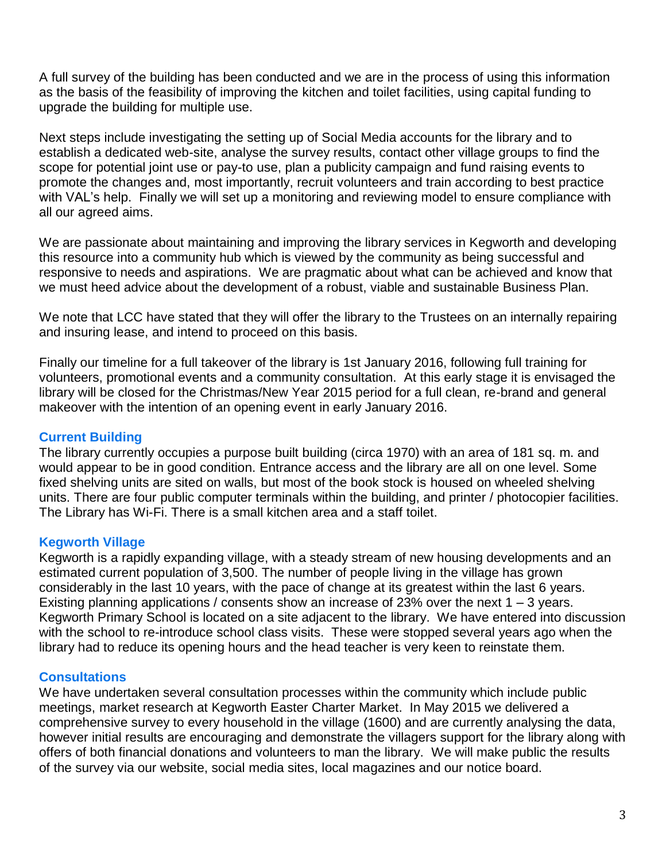A full survey of the building has been conducted and we are in the process of using this information as the basis of the feasibility of improving the kitchen and toilet facilities, using capital funding to upgrade the building for multiple use.

Next steps include investigating the setting up of Social Media accounts for the library and to establish a dedicated web-site, analyse the survey results, contact other village groups to find the scope for potential joint use or pay-to use, plan a publicity campaign and fund raising events to promote the changes and, most importantly, recruit volunteers and train according to best practice with VAL's help. Finally we will set up a monitoring and reviewing model to ensure compliance with all our agreed aims.

We are passionate about maintaining and improving the library services in Kegworth and developing this resource into a community hub which is viewed by the community as being successful and responsive to needs and aspirations. We are pragmatic about what can be achieved and know that we must heed advice about the development of a robust, viable and sustainable Business Plan.

We note that LCC have stated that they will offer the library to the Trustees on an internally repairing and insuring lease, and intend to proceed on this basis.

Finally our timeline for a full takeover of the library is 1st January 2016, following full training for volunteers, promotional events and a community consultation. At this early stage it is envisaged the library will be closed for the Christmas/New Year 2015 period for a full clean, re-brand and general makeover with the intention of an opening event in early January 2016.

#### **Current Building**

The library currently occupies a purpose built building (circa 1970) with an area of 181 sq. m. and would appear to be in good condition. Entrance access and the library are all on one level. Some fixed shelving units are sited on walls, but most of the book stock is housed on wheeled shelving units. There are four public computer terminals within the building, and printer / photocopier facilities. The Library has Wi-Fi. There is a small kitchen area and a staff toilet.

## **Kegworth Village**

Kegworth is a rapidly expanding village, with a steady stream of new housing developments and an estimated current population of 3,500. The number of people living in the village has grown considerably in the last 10 years, with the pace of change at its greatest within the last 6 years. Existing planning applications / consents show an increase of 23% over the next  $1 - 3$  years. Kegworth Primary School is located on a site adjacent to the library. We have entered into discussion with the school to re-introduce school class visits. These were stopped several years ago when the library had to reduce its opening hours and the head teacher is very keen to reinstate them.

## **Consultations**

We have undertaken several consultation processes within the community which include public meetings, market research at Kegworth Easter Charter Market. In May 2015 we delivered a comprehensive survey to every household in the village (1600) and are currently analysing the data, however initial results are encouraging and demonstrate the villagers support for the library along with offers of both financial donations and volunteers to man the library. We will make public the results of the survey via our website, social media sites, local magazines and our notice board.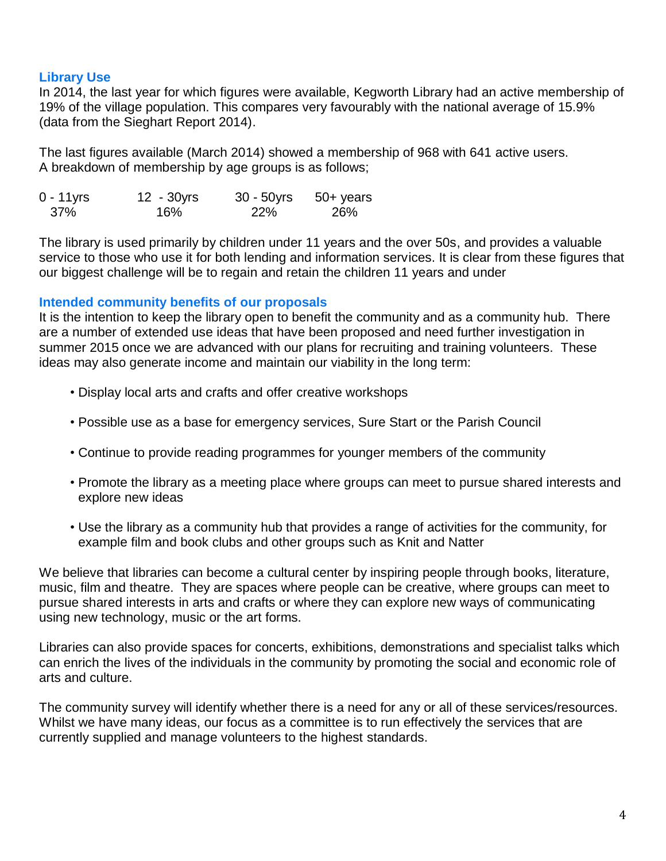#### **Library Use**

In 2014, the last year for which figures were available, Kegworth Library had an active membership of 19% of the village population. This compares very favourably with the national average of 15.9% (data from the Sieghart Report 2014).

The last figures available (March 2014) showed a membership of 968 with 641 active users. A breakdown of membership by age groups is as follows;

| $0 - 11$ yrs | 12 - 30yrs | $30 - 50$ yrs | $50+$ years |
|--------------|------------|---------------|-------------|
| 37%          | 16%        | <b>22%</b>    | 26%         |

The library is used primarily by children under 11 years and the over 50s, and provides a valuable service to those who use it for both lending and information services. It is clear from these figures that our biggest challenge will be to regain and retain the children 11 years and under

#### **Intended community benefits of our proposals**

It is the intention to keep the library open to benefit the community and as a community hub. There are a number of extended use ideas that have been proposed and need further investigation in summer 2015 once we are advanced with our plans for recruiting and training volunteers. These ideas may also generate income and maintain our viability in the long term:

- Display local arts and crafts and offer creative workshops
- Possible use as a base for emergency services, Sure Start or the Parish Council
- Continue to provide reading programmes for younger members of the community
- Promote the library as a meeting place where groups can meet to pursue shared interests and explore new ideas
- Use the library as a community hub that provides a range of activities for the community, for example film and book clubs and other groups such as Knit and Natter

We believe that libraries can become a cultural center by inspiring people through books, literature, music, film and theatre. They are spaces where people can be creative, where groups can meet to pursue shared interests in arts and crafts or where they can explore new ways of communicating using new technology, music or the art forms.

Libraries can also provide spaces for concerts, exhibitions, demonstrations and specialist talks which can enrich the lives of the individuals in the community by promoting the social and economic role of arts and culture.

The community survey will identify whether there is a need for any or all of these services/resources. Whilst we have many ideas, our focus as a committee is to run effectively the services that are currently supplied and manage volunteers to the highest standards.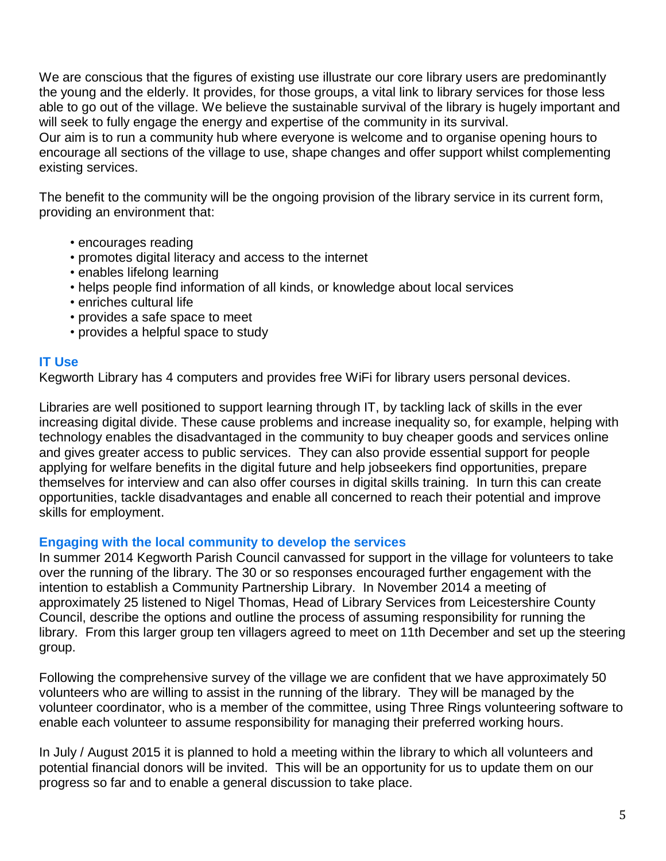We are conscious that the figures of existing use illustrate our core library users are predominantly the young and the elderly. It provides, for those groups, a vital link to library services for those less able to go out of the village. We believe the sustainable survival of the library is hugely important and will seek to fully engage the energy and expertise of the community in its survival.

Our aim is to run a community hub where everyone is welcome and to organise opening hours to encourage all sections of the village to use, shape changes and offer support whilst complementing existing services.

The benefit to the community will be the ongoing provision of the library service in its current form, providing an environment that:

- encourages reading
- promotes digital literacy and access to the internet
- enables lifelong learning
- helps people find information of all kinds, or knowledge about local services
- enriches cultural life
- provides a safe space to meet
- provides a helpful space to study

## **IT Use**

Kegworth Library has 4 computers and provides free WiFi for library users personal devices.

Libraries are well positioned to support learning through IT, by tackling lack of skills in the ever increasing digital divide. These cause problems and increase inequality so, for example, helping with technology enables the disadvantaged in the community to buy cheaper goods and services online and gives greater access to public services. They can also provide essential support for people applying for welfare benefits in the digital future and help jobseekers find opportunities, prepare themselves for interview and can also offer courses in digital skills training. In turn this can create opportunities, tackle disadvantages and enable all concerned to reach their potential and improve skills for employment.

#### **Engaging with the local community to develop the services**

In summer 2014 Kegworth Parish Council canvassed for support in the village for volunteers to take over the running of the library. The 30 or so responses encouraged further engagement with the intention to establish a Community Partnership Library. In November 2014 a meeting of approximately 25 listened to Nigel Thomas, Head of Library Services from Leicestershire County Council, describe the options and outline the process of assuming responsibility for running the library. From this larger group ten villagers agreed to meet on 11th December and set up the steering group.

Following the comprehensive survey of the village we are confident that we have approximately 50 volunteers who are willing to assist in the running of the library. They will be managed by the volunteer coordinator, who is a member of the committee, using Three Rings volunteering software to enable each volunteer to assume responsibility for managing their preferred working hours.

In July / August 2015 it is planned to hold a meeting within the library to which all volunteers and potential financial donors will be invited. This will be an opportunity for us to update them on our progress so far and to enable a general discussion to take place.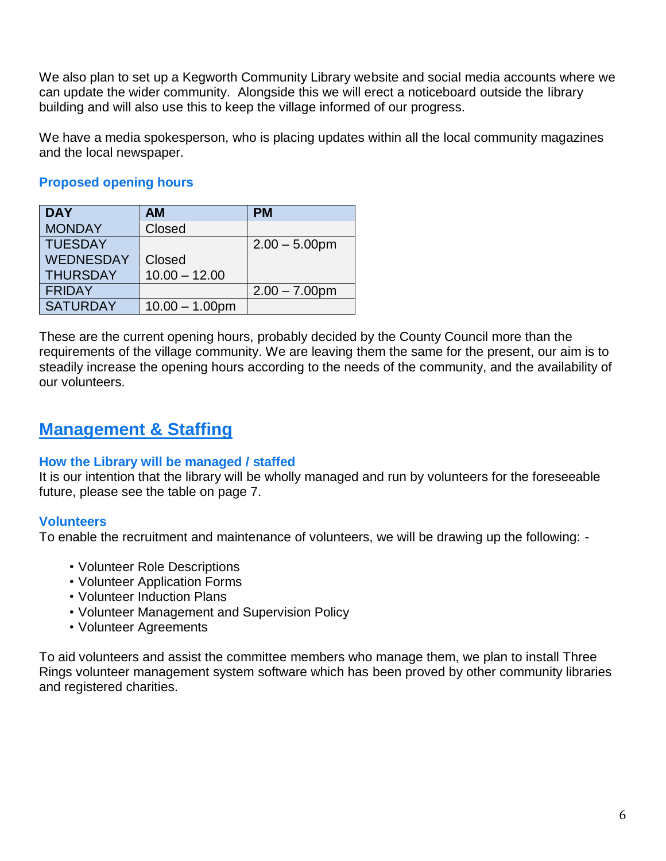We also plan to set up a Kegworth Community Library website and social media accounts where we can update the wider community. Alongside this we will erect a noticeboard outside the library building and will also use this to keep the village informed of our progress.

We have a media spokesperson, who is placing updates within all the local community magazines and the local newspaper.

## **Proposed opening hours**

| <b>DAY</b>       | AМ                | <b>PM</b>        |
|------------------|-------------------|------------------|
| <b>MONDAY</b>    | Closed            |                  |
| <b>TUESDAY</b>   |                   | $2.00 - 5.00$ pm |
| <b>WEDNESDAY</b> | Closed            |                  |
| <b>THURSDAY</b>  | $10.00 - 12.00$   |                  |
| <b>FRIDAY</b>    |                   | $2.00 - 7.00$ pm |
| <b>SATURDAY</b>  | $10.00 - 1.00$ pm |                  |

These are the current opening hours, probably decided by the County Council more than the requirements of the village community. We are leaving them the same for the present, our aim is to steadily increase the opening hours according to the needs of the community, and the availability of our volunteers.

# **Management & Staffing**

## **How the Library will be managed / staffed**

It is our intention that the library will be wholly managed and run by volunteers for the foreseeable future, please see the table on page 7.

## **Volunteers**

To enable the recruitment and maintenance of volunteers, we will be drawing up the following: -

- Volunteer Role Descriptions
- Volunteer Application Forms
- Volunteer Induction Plans
- Volunteer Management and Supervision Policy
- Volunteer Agreements

To aid volunteers and assist the committee members who manage them, we plan to install Three Rings volunteer management system software which has been proved by other community libraries and registered charities.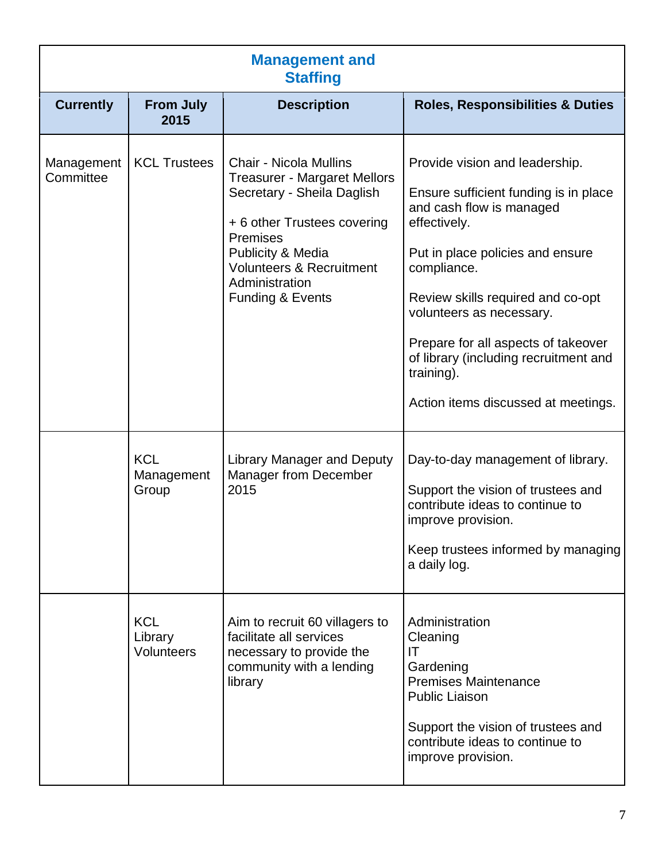| <b>Management and</b><br><b>Staffing</b> |                                                          |                                                                                                                                                                                                                                                                                                                                                |                                                                                                                                                                                                                                                                                                                                                                                                                                                                                                                                                        |  |
|------------------------------------------|----------------------------------------------------------|------------------------------------------------------------------------------------------------------------------------------------------------------------------------------------------------------------------------------------------------------------------------------------------------------------------------------------------------|--------------------------------------------------------------------------------------------------------------------------------------------------------------------------------------------------------------------------------------------------------------------------------------------------------------------------------------------------------------------------------------------------------------------------------------------------------------------------------------------------------------------------------------------------------|--|
| <b>Currently</b>                         | <b>From July</b><br>2015                                 | <b>Description</b>                                                                                                                                                                                                                                                                                                                             | <b>Roles, Responsibilities &amp; Duties</b>                                                                                                                                                                                                                                                                                                                                                                                                                                                                                                            |  |
| Management<br>Committee                  | <b>KCL Trustees</b><br><b>KCL</b><br>Management<br>Group | <b>Chair - Nicola Mullins</b><br><b>Treasurer - Margaret Mellors</b><br>Secretary - Sheila Daglish<br>+ 6 other Trustees covering<br><b>Premises</b><br>Publicity & Media<br><b>Volunteers &amp; Recruitment</b><br>Administration<br><b>Funding &amp; Events</b><br><b>Library Manager and Deputy</b><br><b>Manager from December</b><br>2015 | Provide vision and leadership.<br>Ensure sufficient funding is in place<br>and cash flow is managed<br>effectively.<br>Put in place policies and ensure<br>compliance.<br>Review skills required and co-opt<br>volunteers as necessary.<br>Prepare for all aspects of takeover<br>of library (including recruitment and<br>training).<br>Action items discussed at meetings.<br>Day-to-day management of library.<br>Support the vision of trustees and<br>contribute ideas to continue to<br>improve provision.<br>Keep trustees informed by managing |  |
|                                          | <b>KCL</b><br>Library<br>Volunteers                      | Aim to recruit 60 villagers to<br>facilitate all services<br>necessary to provide the<br>community with a lending<br>library                                                                                                                                                                                                                   | a daily log.<br>Administration<br>Cleaning<br>IT<br>Gardening<br><b>Premises Maintenance</b><br><b>Public Liaison</b><br>Support the vision of trustees and<br>contribute ideas to continue to<br>improve provision.                                                                                                                                                                                                                                                                                                                                   |  |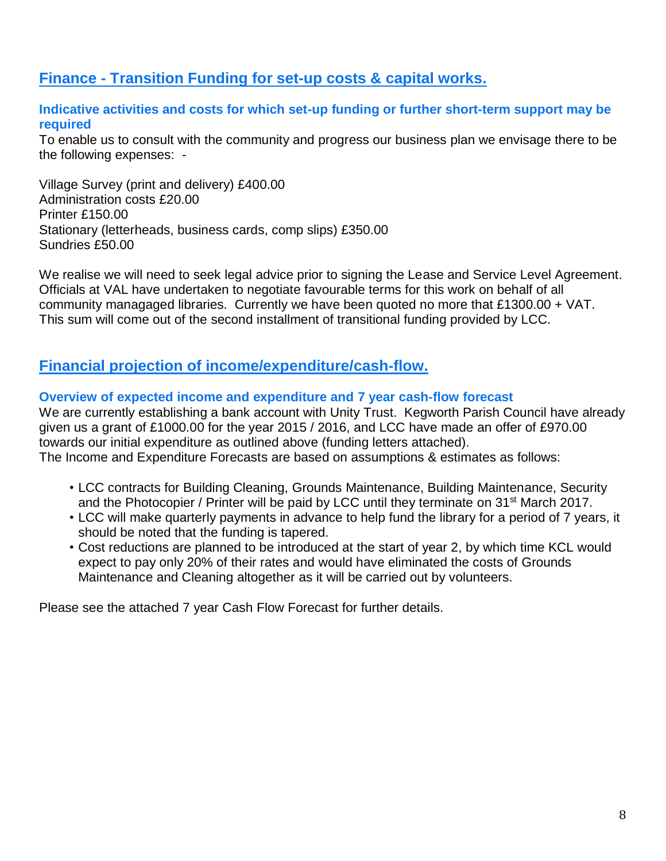## **Finance - Transition Funding for set-up costs & capital works.**

#### **Indicative activities and costs for which set-up funding or further short-term support may be required**

To enable us to consult with the community and progress our business plan we envisage there to be the following expenses: -

Village Survey (print and delivery) £400.00 Administration costs £20.00 Printer £150.00 Stationary (letterheads, business cards, comp slips) £350.00 Sundries £50.00

We realise we will need to seek legal advice prior to signing the Lease and Service Level Agreement. Officials at VAL have undertaken to negotiate favourable terms for this work on behalf of all community managaged libraries. Currently we have been quoted no more that £1300.00 + VAT. This sum will come out of the second installment of transitional funding provided by LCC.

## **Financial projection of income/expenditure/cash-flow.**

#### **Overview of expected income and expenditure and 7 year cash-flow forecast**

We are currently establishing a bank account with Unity Trust. Kegworth Parish Council have already given us a grant of £1000.00 for the year 2015 / 2016, and LCC have made an offer of £970.00 towards our initial expenditure as outlined above (funding letters attached). The Income and Expenditure Forecasts are based on assumptions & estimates as follows:

- LCC contracts for Building Cleaning, Grounds Maintenance, Building Maintenance, Security and the Photocopier / Printer will be paid by LCC until they terminate on 31st March 2017.
- LCC will make quarterly payments in advance to help fund the library for a period of 7 years, it should be noted that the funding is tapered.
- Cost reductions are planned to be introduced at the start of year 2, by which time KCL would expect to pay only 20% of their rates and would have eliminated the costs of Grounds Maintenance and Cleaning altogether as it will be carried out by volunteers.

Please see the attached 7 year Cash Flow Forecast for further details.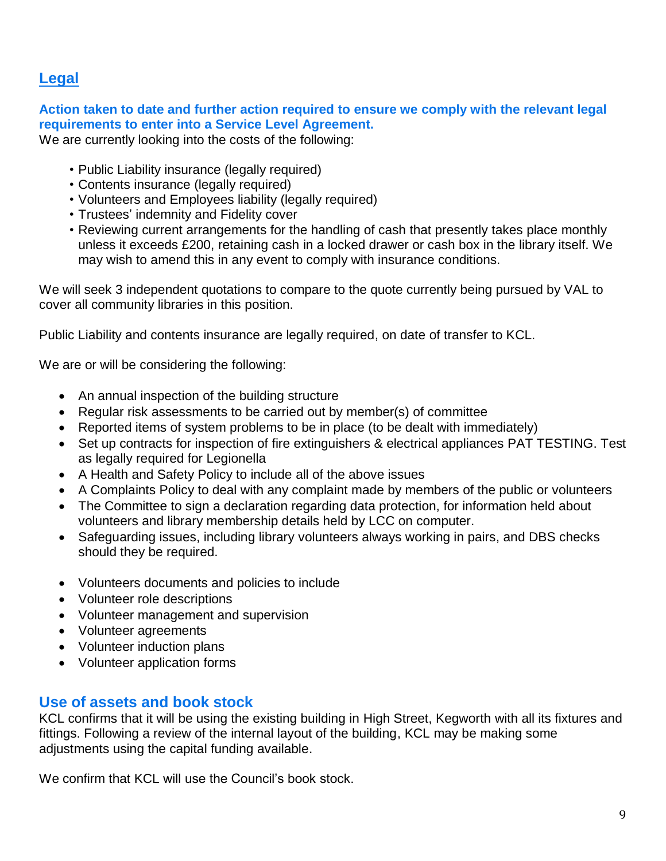## **Legal**

**Action taken to date and further action required to ensure we comply with the relevant legal requirements to enter into a Service Level Agreement.**

We are currently looking into the costs of the following:

- Public Liability insurance (legally required)
- Contents insurance (legally required)
- Volunteers and Employees liability (legally required)
- Trustees' indemnity and Fidelity cover
- Reviewing current arrangements for the handling of cash that presently takes place monthly unless it exceeds £200, retaining cash in a locked drawer or cash box in the library itself. We may wish to amend this in any event to comply with insurance conditions.

We will seek 3 independent quotations to compare to the quote currently being pursued by VAL to cover all community libraries in this position.

Public Liability and contents insurance are legally required, on date of transfer to KCL.

We are or will be considering the following:

- An annual inspection of the building structure
- Regular risk assessments to be carried out by member(s) of committee
- Reported items of system problems to be in place (to be dealt with immediately)
- Set up contracts for inspection of fire extinguishers & electrical appliances PAT TESTING. Test as legally required for Legionella
- A Health and Safety Policy to include all of the above issues
- A Complaints Policy to deal with any complaint made by members of the public or volunteers
- The Committee to sign a declaration regarding data protection, for information held about volunteers and library membership details held by LCC on computer.
- Safeguarding issues, including library volunteers always working in pairs, and DBS checks should they be required.
- Volunteers documents and policies to include
- Volunteer role descriptions
- Volunteer management and supervision
- Volunteer agreements
- Volunteer induction plans
- Volunteer application forms

## **Use of assets and book stock**

KCL confirms that it will be using the existing building in High Street, Kegworth with all its fixtures and fittings. Following a review of the internal layout of the building, KCL may be making some adjustments using the capital funding available.

We confirm that KCL will use the Council's book stock.